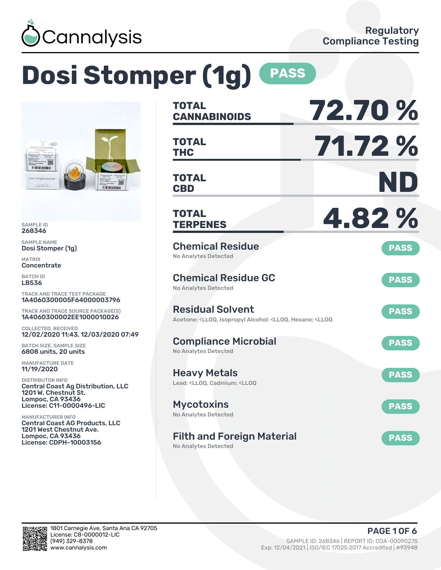

# **Dosi Stomper (1g) PASS**



SAMPLE ID 268346

SAMPLE NAME Dosi Stomper (1g)

MATRIX **Concentrate** 

BATCH ID LB536

TRACK AND TRACE TEST PACKAGE 1A4060300005F64000003796

TRACK AND TRACE SOURCE PACKAGE(S) 1A4060300002EE1000010026

COLLECTED, RECEIVED 12/02/2020 11:43, 12/03/2020 07:49

BATCH SIZE, SAMPLE SIZE 6808 units, 20 units

MANUFACTURE DATE 11/19/2020

DISTRIBUTOR INFO Central Coast Ag Distribution, LLC 1201 W. Chestnut St. Lompoc, CA 93436 License: C11-0000496-LIC

MANUFACTURER INFO Central Coast AG Products, LLC 1201 West Chestnut Ave. Lompoc, CA 93436 License: CDPH-10003156

| <b>TOTAL</b><br><b>CANNABINOIDS</b>                                                                                                   | 72.70%      |
|---------------------------------------------------------------------------------------------------------------------------------------|-------------|
| <b>TOTAL</b><br><b>THC</b>                                                                                                            | 71.72%      |
| <b>TOTAL</b><br><b>CBD</b>                                                                                                            | ND          |
| <b>TOTAL</b><br><b>TERPENES</b>                                                                                                       | 4.82%       |
| <b>Chemical Residue</b><br><b>No Analytes Detected</b>                                                                                | <b>PASS</b> |
| <b>Chemical Residue GC</b><br><b>No Analytes Detected</b>                                                                             | <b>PASS</b> |
| <b>Residual Solvent</b><br>Acetone: <lloq, <lloq,="" <lloq<="" alcohol:="" hexane:="" isopropyl="" td=""><td><b>PASS</b></td></lloq,> | <b>PASS</b> |
| <b>Compliance Microbial</b><br><b>No Analytes Detected</b>                                                                            | <b>PASS</b> |
| <b>Heavy Metals</b><br>Lead: <ll00. <ll00<="" cadmium:="" td=""><td><b>PASS</b></td></ll00.>                                          | <b>PASS</b> |
| <b>Mycotoxins</b><br>No Analytes Detected                                                                                             | <b>PASS</b> |
| <b>Filth and Foreign Material</b><br>No Analytes Detected                                                                             | <b>PASS</b> |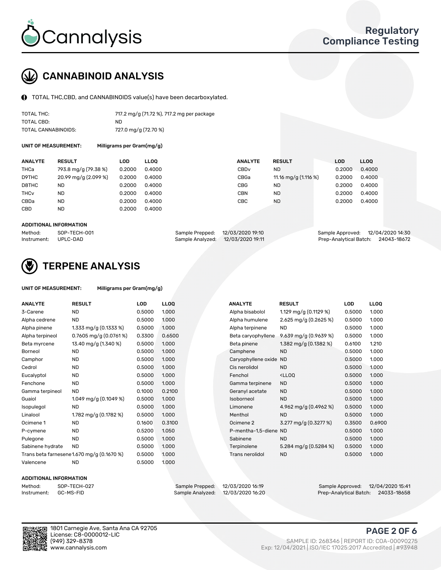

# CANNABINOID ANALYSIS

TOTAL THC,CBD, and CANNABINOIDS value(s) have been decarboxylated.

| TOTAL THC:          | 717.2 mg/g (71.72 %), 717.2 mg per package |
|---------------------|--------------------------------------------|
| TOTAL CBD:          | ND.                                        |
| TOTAL CANNABINOIDS: | 727.0 mg/g (72.70 %)                       |

UNIT OF MEASUREMENT: Milligrams per Gram(mg/g)

| <b>ANALYTE</b>         | <b>RESULT</b>                      | <b>LOD</b> | <b>LLOO</b> | <b>ANALYTE</b>   | <b>RESULT</b>           | LOD    | <b>LLOO</b> |
|------------------------|------------------------------------|------------|-------------|------------------|-------------------------|--------|-------------|
| THCa                   | 793.8 mg/g (79.38 %)               | 0.2000     | 0.4000      | CBD <sub>v</sub> | <b>ND</b>               | 0.2000 | 0.4000      |
| D9THC                  | $20.99 \,\mathrm{mag/g}$ (2.099 %) | 0.2000     | 0.4000      | CBGa             | 11.16 mg/g $(1.116 \%)$ | 0.2000 | 0.4000      |
| D8THC                  | <b>ND</b>                          | 0.2000     | 0.4000      | CBG              | <b>ND</b>               | 0.2000 | 0.4000      |
| <b>THC<sub>v</sub></b> | <b>ND</b>                          | 0.2000     | 0.4000      | CBN              | <b>ND</b>               | 0.2000 | 0.4000      |
| CBDa                   | <b>ND</b>                          | 0.2000     | 0.4000      | CBC              | <b>ND</b>               | 0.2000 | 0.4000      |
| CBD                    | <b>ND</b>                          | 0.2000     | 0.4000      |                  |                         |        |             |
|                        |                                    |            |             |                  |                         |        |             |

#### ADDITIONAL INFORMATION

| Method:              | SOP-TECH-001 |                                   | Sample Prepped: 12/03/2020 19:10 | Sample Approved: 12/04/2020 14:30  |  |
|----------------------|--------------|-----------------------------------|----------------------------------|------------------------------------|--|
| Instrument: UPLC-DAD |              | Sample Analyzed: 12/03/2020 19:11 |                                  | Prep-Analytical Batch: 24043-18672 |  |



# TERPENE ANALYSIS

| UNIT OF MEASUREMENT: | Milligrams per Gram(mg/g) |
|----------------------|---------------------------|
|                      |                           |

| <b>ANALYTE</b>   | <b>RESULT</b>                              | <b>LOD</b> | <b>LLOQ</b> | <b>ANALYTE</b>         | <b>RESULT</b>                                      | LOD    | <b>LLOQ</b> |
|------------------|--------------------------------------------|------------|-------------|------------------------|----------------------------------------------------|--------|-------------|
| 3-Carene         | <b>ND</b>                                  | 0.5000     | 1.000       | Alpha bisabolol        | 1.129 mg/g $(0.1129%)$                             | 0.5000 | 1.000       |
| Alpha cedrene    | <b>ND</b>                                  | 0.5000     | 1.000       | Alpha humulene         | 2.625 mg/g $(0.2625%)$                             | 0.5000 | 1.000       |
| Alpha pinene     | 1.333 mg/g $(0.1333\%)$                    | 0.5000     | 1.000       | Alpha terpinene        | <b>ND</b>                                          | 0.5000 | 1.000       |
| Alpha terpineol  | $0.7605$ mg/g $(0.0761\%)$                 | 0.3300     | 0.6500      | Beta caryophyllene     | 9.639 mg/g (0.9639 %)                              | 0.5000 | 1.000       |
| Beta myrcene     | 13.40 mg/g (1.340 %)                       | 0.5000     | 1.000       | Beta pinene            | 1.382 mg/g (0.1382 %)                              | 0.6100 | 1.210       |
| Borneol          | <b>ND</b>                                  | 0.5000     | 1.000       | Camphene               | <b>ND</b>                                          | 0.5000 | 1.000       |
| Camphor          | <b>ND</b>                                  | 0.5000     | 1.000       | Caryophyllene oxide ND |                                                    | 0.5000 | 1.000       |
| Cedrol           | <b>ND</b>                                  | 0.5000     | 1.000       | Cis nerolidol          | <b>ND</b>                                          | 0.5000 | 1.000       |
| Eucalyptol       | <b>ND</b>                                  | 0.5000     | 1.000       | Fenchol                | <ll0q< td=""><td>0.5000</td><td>1.000</td></ll0q<> | 0.5000 | 1.000       |
| Fenchone         | <b>ND</b>                                  | 0.5000     | 1.000       | Gamma terpinene        | <b>ND</b>                                          | 0.5000 | 1.000       |
| Gamma terpineol  | <b>ND</b>                                  | 0.1000     | 0.2100      | Geranyl acetate        | <b>ND</b>                                          | 0.5000 | 1.000       |
| Guaiol           | 1.049 mg/g $(0.1049\%)$                    | 0.5000     | 1.000       | Isoborneol             | <b>ND</b>                                          | 0.5000 | 1.000       |
| Isopulegol       | <b>ND</b>                                  | 0.5000     | 1.000       | Limonene               | 4.962 mg/g $(0.4962\%)$                            | 0.5000 | 1.000       |
| Linalool         | 1.782 mg/g (0.1782 %)                      | 0.5000     | 1.000       | Menthol                | <b>ND</b>                                          | 0.5000 | 1.000       |
| Ocimene 1        | <b>ND</b>                                  | 0.1600     | 0.3100      | Ocimene 2              | 3.277 mg/g (0.3277 %)                              | 0.3500 | 0.6900      |
| P-cymene         | <b>ND</b>                                  | 0.5200     | 1.050       | P-mentha-1.5-diene ND  |                                                    | 0.5000 | 1.000       |
| Pulegone         | <b>ND</b>                                  | 0.5000     | 1.000       | Sabinene               | <b>ND</b>                                          | 0.5000 | 1.000       |
| Sabinene hydrate | <b>ND</b>                                  | 0.5000     | 1.000       | Terpinolene            | 5.284 mg/g $(0.5284\%)$                            | 0.5000 | 1.000       |
|                  | Trans beta farnesene 1.670 mg/g (0.1670 %) | 0.5000     | 1.000       | <b>Trans nerolidol</b> | <b>ND</b>                                          | 0.5000 | 1.000       |
| Valencene        | <b>ND</b>                                  | 0.5000     | 1.000       |                        |                                                    |        |             |

#### ADDITIONAL INFORMATION

| Method:     | SOP-TECH  |
|-------------|-----------|
| Instrument: | GC-MS-FII |

Method: SOP-TECH-027 Sample Prepped: 12/03/2020 16:19 Sample Approved: 12/04/2020 15:41 Prep-Analytical Batch: 24033-18658

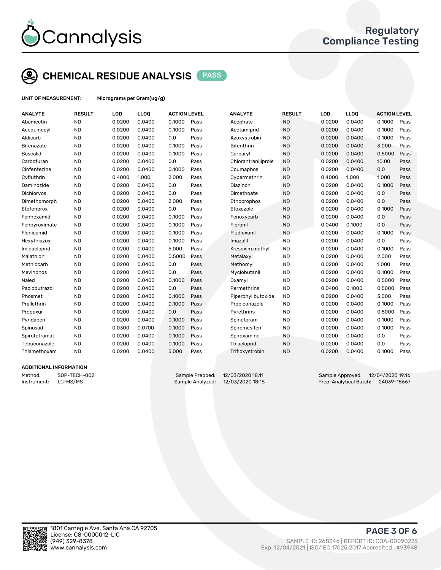

# CHEMICAL RESIDUE ANALYSIS PASS

UNIT OF MEASUREMENT: Micrograms per Gram(ug/g)

| <b>ANALYTE</b>  | <b>RESULT</b> | LOD    | LLOQ   | <b>ACTION LEVEL</b> |      | <b>ANALYTE</b>      | <b>RESULT</b> | LOD    | <b>LLOQ</b> | <b>ACTION LEVEL</b> |      |
|-----------------|---------------|--------|--------|---------------------|------|---------------------|---------------|--------|-------------|---------------------|------|
| Abamectin       | <b>ND</b>     | 0.0200 | 0.0400 | 0.1000              | Pass | Acephate            | <b>ND</b>     | 0.0200 | 0.0400      | 0.1000              | Pass |
| Acequinocyl     | <b>ND</b>     | 0.0200 | 0.0400 | 0.1000              | Pass | Acetamiprid         | <b>ND</b>     | 0.0200 | 0.0400      | 0.1000              | Pass |
| Aldicarb        | <b>ND</b>     | 0.0200 | 0.0400 | 0.0                 | Pass | Azoxystrobin        | <b>ND</b>     | 0.0200 | 0.0400      | 0.1000              | Pass |
| Bifenazate      | <b>ND</b>     | 0.0200 | 0.0400 | 0.1000              | Pass | <b>Bifenthrin</b>   | <b>ND</b>     | 0.0200 | 0.0400      | 3.000               | Pass |
| <b>Boscalid</b> | <b>ND</b>     | 0.0200 | 0.0400 | 0.1000              | Pass | Carbaryl            | <b>ND</b>     | 0.0200 | 0.0400      | 0.5000              | Pass |
| Carbofuran      | <b>ND</b>     | 0.0200 | 0.0400 | 0.0                 | Pass | Chlorantraniliprole | <b>ND</b>     | 0.0200 | 0.0400      | 10.00               | Pass |
| Clofentezine    | <b>ND</b>     | 0.0200 | 0.0400 | 0.1000              | Pass | Coumaphos           | <b>ND</b>     | 0.0200 | 0.0400      | 0.0                 | Pass |
| Cyfluthrin      | <b>ND</b>     | 0.4000 | 1.000  | 2.000               | Pass | Cypermethrin        | <b>ND</b>     | 0.4000 | 1.000       | 1.000               | Pass |
| Daminozide      | <b>ND</b>     | 0.0200 | 0.0400 | 0.0                 | Pass | Diazinon            | <b>ND</b>     | 0.0200 | 0.0400      | 0.1000              | Pass |
| Dichlorvos      | <b>ND</b>     | 0.0200 | 0.0400 | 0.0                 | Pass | Dimethoate          | <b>ND</b>     | 0.0200 | 0.0400      | 0.0                 | Pass |
| Dimethomorph    | <b>ND</b>     | 0.0200 | 0.0400 | 2.000               | Pass | Ethoprophos         | <b>ND</b>     | 0.0200 | 0.0400      | 0.0                 | Pass |
| Etofenprox      | <b>ND</b>     | 0.0200 | 0.0400 | 0.0                 | Pass | Etoxazole           | <b>ND</b>     | 0.0200 | 0.0400      | 0.1000              | Pass |
| Fenhexamid      | <b>ND</b>     | 0.0200 | 0.0400 | 0.1000              | Pass | Fenoxycarb          | <b>ND</b>     | 0.0200 | 0.0400      | 0.0                 | Pass |
| Fenpyroximate   | <b>ND</b>     | 0.0200 | 0.0400 | 0.1000              | Pass | Fipronil            | <b>ND</b>     | 0.0400 | 0.1000      | 0.0                 | Pass |
| Flonicamid      | <b>ND</b>     | 0.0200 | 0.0400 | 0.1000              | Pass | Fludioxonil         | <b>ND</b>     | 0.0200 | 0.0400      | 0.1000              | Pass |
| Hexythiazox     | <b>ND</b>     | 0.0200 | 0.0400 | 0.1000              | Pass | Imazalil            | <b>ND</b>     | 0.0200 | 0.0400      | 0.0                 | Pass |
| Imidacloprid    | <b>ND</b>     | 0.0200 | 0.0400 | 5.000               | Pass | Kresoxim methyl     | <b>ND</b>     | 0.0200 | 0.0400      | 0.1000              | Pass |
| Malathion       | <b>ND</b>     | 0.0200 | 0.0400 | 0.5000              | Pass | Metalaxyl           | <b>ND</b>     | 0.0200 | 0.0400      | 2.000               | Pass |
| Methiocarb      | <b>ND</b>     | 0.0200 | 0.0400 | 0.0                 | Pass | Methomyl            | <b>ND</b>     | 0.0200 | 0.0400      | 1.000               | Pass |
| Mevinphos       | <b>ND</b>     | 0.0200 | 0.0400 | 0.0                 | Pass | Myclobutanil        | <b>ND</b>     | 0.0200 | 0.0400      | 0.1000              | Pass |
| Naled           | <b>ND</b>     | 0.0200 | 0.0400 | 0.1000              | Pass | Oxamyl              | <b>ND</b>     | 0.0200 | 0.0400      | 0.5000              | Pass |
| Paclobutrazol   | <b>ND</b>     | 0.0200 | 0.0400 | 0.0                 | Pass | Permethrins         | <b>ND</b>     | 0.0400 | 0.1000      | 0.5000              | Pass |
| Phosmet         | <b>ND</b>     | 0.0200 | 0.0400 | 0.1000              | Pass | Piperonyl butoxide  | <b>ND</b>     | 0.0200 | 0.0400      | 3.000               | Pass |
| Prallethrin     | <b>ND</b>     | 0.0200 | 0.0400 | 0.1000              | Pass | Propiconazole       | <b>ND</b>     | 0.0200 | 0.0400      | 0.1000              | Pass |
| Propoxur        | <b>ND</b>     | 0.0200 | 0.0400 | 0.0                 | Pass | Pyrethrins          | <b>ND</b>     | 0.0200 | 0.0400      | 0.5000              | Pass |
| Pyridaben       | <b>ND</b>     | 0.0200 | 0.0400 | 0.1000              | Pass | Spinetoram          | <b>ND</b>     | 0.0200 | 0.0400      | 0.1000              | Pass |
| Spinosad        | <b>ND</b>     | 0.0300 | 0.0700 | 0.1000              | Pass | Spiromesifen        | <b>ND</b>     | 0.0200 | 0.0400      | 0.1000              | Pass |
| Spirotetramat   | <b>ND</b>     | 0.0200 | 0.0400 | 0.1000              | Pass | Spiroxamine         | <b>ND</b>     | 0.0200 | 0.0400      | 0.0                 | Pass |
| Tebuconazole    | <b>ND</b>     | 0.0200 | 0.0400 | 0.1000              | Pass | Thiacloprid         | <b>ND</b>     | 0.0200 | 0.0400      | 0.0                 | Pass |
| Thiamethoxam    | <b>ND</b>     | 0.0200 | 0.0400 | 5.000               | Pass | Trifloxystrobin     | <b>ND</b>     | 0.0200 | 0.0400      | 0.1000              | Pass |
|                 |               |        |        |                     |      |                     |               |        |             |                     |      |

### ADDITIONAL INFORMATION

Method: SOP-TECH-002 Sample Prepped: 12/03/2020 18:11 Sample Approved: 12/04/2020 19:16 Instrument: LC-MS/MS Sample Analyzed: 12/03/2020 18:18 Prep-Analytical Batch: 24039-18667



PAGE 3 OF 6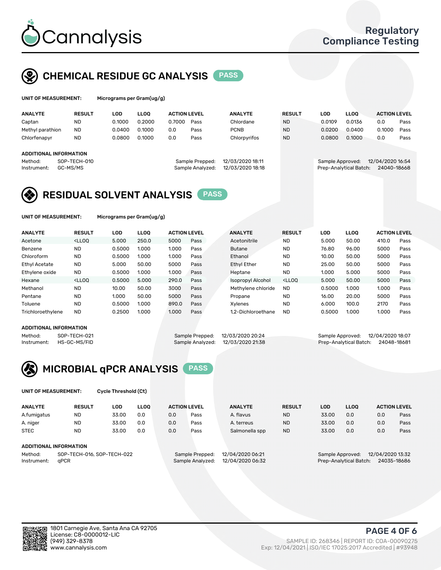

# CHEMICAL RESIDUE GC ANALYSIS PASS

| UNIT OF MEASUREMENT: | Mi |
|----------------------|----|
|                      |    |

crograms per Gram(ug/g)

| <b>ANALYTE</b>         | <b>RESULT</b> | <b>LOD</b> | <b>LLOO</b> | <b>ACTION LEVEL</b> |                  | <b>ANALYTE</b>   | <b>RESULT</b> | LOD              | <b>LLOO</b>            | <b>ACTION LEVEL</b> |      |
|------------------------|---------------|------------|-------------|---------------------|------------------|------------------|---------------|------------------|------------------------|---------------------|------|
| Captan                 | <b>ND</b>     | 0.1000     | 0.2000      | 0.7000              | Pass             | Chlordane        | <b>ND</b>     | 0.0109           | 0.0136                 | 0.0                 | Pass |
| Methyl parathion       | <b>ND</b>     | 0.0400     | 0.1000      | 0.0                 | Pass             | <b>PCNB</b>      | <b>ND</b>     | 0.0200           | 0.0400                 | 0.1000              | Pass |
| Chlorfenapyr           | <b>ND</b>     | 0.0800     | 0.1000      | 0.0                 | Pass             | Chlorpyrifos     | <b>ND</b>     | 0.0800           | 0.1000                 | 0.0                 | Pass |
| ADDITIONAL INFORMATION |               |            |             |                     |                  |                  |               |                  |                        |                     |      |
|                        |               |            |             |                     |                  |                  |               |                  |                        |                     |      |
| Method:                | SOP-TECH-010  |            |             |                     | Sample Prepped:  | 12/03/2020 18:11 |               | Sample Approved: |                        | 12/04/2020 16:54    |      |
| Instrument:            | GC-MS/MS      |            |             |                     | Sample Analyzed: | 12/03/2020 18:18 |               |                  | Prep-Analytical Batch: | 24040-18668         |      |

# RESIDUAL SOLVENT ANALYSIS PASS

UNIT OF MEASUREMENT: Micrograms per Gram(ug/g)

| <b>ANALYTE</b>       | <b>RESULT</b>                                                                                                                                                                                      | LOD    | <b>LLOO</b> | <b>ACTION LEVEL</b> |      | <b>ANALYTE</b>           | <b>RESULT</b>                                                               | LOD    | LLOO  | <b>ACTION LEVEL</b> |      |
|----------------------|----------------------------------------------------------------------------------------------------------------------------------------------------------------------------------------------------|--------|-------------|---------------------|------|--------------------------|-----------------------------------------------------------------------------|--------|-------|---------------------|------|
| Acetone              | <lloo< td=""><td>5.000</td><td>250.0</td><td>5000</td><td>Pass</td><td>Acetonitrile</td><td><b>ND</b></td><td>5.000</td><td>50.00</td><td>410.0</td><td>Pass</td></lloo<>                          | 5.000  | 250.0       | 5000                | Pass | Acetonitrile             | <b>ND</b>                                                                   | 5.000  | 50.00 | 410.0               | Pass |
| Benzene              | <b>ND</b>                                                                                                                                                                                          | 0.5000 | 1.000       | 1.000               | Pass | <b>Butane</b>            | <b>ND</b>                                                                   | 76.80  | 96.00 | 5000                | Pass |
| Chloroform           | <b>ND</b>                                                                                                                                                                                          | 0.5000 | 1.000       | 1.000               | Pass | Ethanol                  | <b>ND</b>                                                                   | 10.00  | 50.00 | 5000                | Pass |
| <b>Ethyl Acetate</b> | <b>ND</b>                                                                                                                                                                                          | 5.000  | 50.00       | 5000                | Pass | <b>Ethyl Ether</b>       | <b>ND</b>                                                                   | 25.00  | 50.00 | 5000                | Pass |
| Ethylene oxide       | <b>ND</b>                                                                                                                                                                                          | 0.5000 | 1.000       | 1.000               | Pass | Heptane                  | <b>ND</b>                                                                   | 1.000  | 5.000 | 5000                | Pass |
| Hexane               | <lloo< td=""><td>0.5000</td><td>5.000</td><td>290.0</td><td>Pass</td><td><b>Isopropyl Alcohol</b></td><td><lloo< td=""><td>5.000</td><td>50.00</td><td>5000</td><td>Pass</td></lloo<></td></lloo<> | 0.5000 | 5.000       | 290.0               | Pass | <b>Isopropyl Alcohol</b> | <lloo< td=""><td>5.000</td><td>50.00</td><td>5000</td><td>Pass</td></lloo<> | 5.000  | 50.00 | 5000                | Pass |
| Methanol             | <b>ND</b>                                                                                                                                                                                          | 10.00  | 50.00       | 3000                | Pass | Methylene chloride       | <b>ND</b>                                                                   | 0.5000 | 1.000 | 1.000               | Pass |
| Pentane              | <b>ND</b>                                                                                                                                                                                          | 1.000  | 50.00       | 5000                | Pass | Propane                  | <b>ND</b>                                                                   | 16.00  | 20.00 | 5000                | Pass |
| Toluene              | <b>ND</b>                                                                                                                                                                                          | 0.5000 | 1.000       | 890.0               | Pass | Xvlenes                  | <b>ND</b>                                                                   | 6.000  | 100.0 | 2170                | Pass |
| Trichloroethylene    | <b>ND</b>                                                                                                                                                                                          | 0.2500 | 1.000       | 1.000               | Pass | 1.2-Dichloroethane       | <b>ND</b>                                                                   | 0.5000 | 1.000 | 1.000               | Pass |

#### ADDITIONAL INFORMATION

Method: SOP-TECH-021 Sample Prepped: 12/03/2020 20:24 Sample Approved: 12/04/2020 18:07<br>Sample Analyzed: 12/03/2020 21:38 Prep-Analytical Batch: 24048-18681

Prep-Analytical Batch: 24048-18681



UNIT OF MEASUREMENT: Cycle Threshold (Ct)

| <b>ANALYTE</b>         | <b>RESULT</b>              | LOD   | <b>LLOO</b> |                  | <b>ACTION LEVEL</b>                 | <b>ANALYTE</b> | <b>RESULT</b> | <b>LOD</b>                           | <b>LLOO</b> |             | <b>ACTION LEVEL</b> |
|------------------------|----------------------------|-------|-------------|------------------|-------------------------------------|----------------|---------------|--------------------------------------|-------------|-------------|---------------------|
| A.fumigatus            | <b>ND</b>                  | 33.00 | 0.0         | 0.0              | Pass                                | A. flavus      | <b>ND</b>     | 33.00                                | 0.0         | 0.0         | Pass                |
| A. niger               | <b>ND</b>                  | 33.00 | 0.0         | 0.0              | Pass                                | A. terreus     | <b>ND</b>     | 33.00                                | 0.0         | 0.0         | Pass                |
| <b>STEC</b>            | <b>ND</b>                  | 33.00 | 0.0         | 0.0              | Pass                                | Salmonella spp | <b>ND</b>     | 33.00                                | 0.0         | 0.0         | Pass                |
| ADDITIONAL INFORMATION |                            |       |             |                  |                                     |                |               |                                      |             |             |                     |
| Method:                | SOP-TECH-016, SOP-TECH-022 |       |             |                  | 12/04/2020 06:21<br>Sample Prepped: |                |               | 12/04/2020 13:32<br>Sample Approved: |             |             |                     |
| aPCR<br>Instrument:    |                            |       |             | Sample Analyzed: | 12/04/2020 06:32                    |                |               | Prep-Analytical Batch:               |             | 24035-18686 |                     |

Exp: 12/04/2021 | ISO/IEC 17025:2017 Accredited | #93948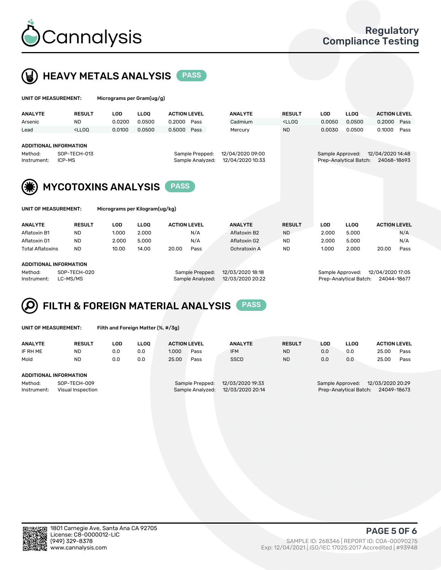

 $U$ UNIT OF MEASUREMENT: Micrograms per Gram(ug/g)



| <b>ANALYTE</b>                | <b>RESULT</b>                                                                                                                                                               | <b>LOD</b> | <b>LLOO</b> | <b>ACTION LEVEL</b> |                                     | <b>ANALYTE</b>   | <b>RESULT</b>                                                                   | <b>LOD</b>                           | LLOO <sup>1</sup>      | <b>ACTION LEVEL</b> |      |  |
|-------------------------------|-----------------------------------------------------------------------------------------------------------------------------------------------------------------------------|------------|-------------|---------------------|-------------------------------------|------------------|---------------------------------------------------------------------------------|--------------------------------------|------------------------|---------------------|------|--|
| Arsenic                       | <b>ND</b>                                                                                                                                                                   | 0.0200     | 0.0500      | 0.2000              | Pass                                | Cadmium          | <lloq< th=""><th>0.0050</th><th>0.0500</th><th>0.2000</th><th>Pass</th></lloq<> | 0.0050                               | 0.0500                 | 0.2000              | Pass |  |
| Lead                          | <lloo< th=""><th>0.0100</th><th>0.0500</th><th>0.5000</th><th>Pass</th><th>Mercury</th><th><b>ND</b></th><th>0.0030</th><th>0.0500</th><th>0.1000</th><th>Pass</th></lloo<> | 0.0100     | 0.0500      | 0.5000              | Pass                                | Mercury          | <b>ND</b>                                                                       | 0.0030                               | 0.0500                 | 0.1000              | Pass |  |
|                               |                                                                                                                                                                             |            |             |                     |                                     |                  |                                                                                 |                                      |                        |                     |      |  |
| <b>ADDITIONAL INFORMATION</b> |                                                                                                                                                                             |            |             |                     |                                     |                  |                                                                                 |                                      |                        |                     |      |  |
| SOP-TECH-013<br>Method:       |                                                                                                                                                                             |            |             |                     | 12/04/2020 09:00<br>Sample Prepped: |                  |                                                                                 | 12/04/2020 14:48<br>Sample Approved: |                        |                     |      |  |
| Instrument:                   | ICP-MS                                                                                                                                                                      |            |             |                     | Sample Analyzed:                    | 12/04/2020 10:33 |                                                                                 |                                      | Prep-Analytical Batch: | 24068-18693         |      |  |
|                               |                                                                                                                                                                             |            |             |                     |                                     |                  |                                                                                 |                                      |                        |                     |      |  |
|                               |                                                                                                                                                                             |            |             |                     |                                     |                  |                                                                                 |                                      |                        |                     |      |  |
|                               | <b>MYCOTOXINS ANALYSIS</b>                                                                                                                                                  |            |             | <b>PASS</b>         |                                     |                  |                                                                                 |                                      |                        |                     |      |  |
|                               |                                                                                                                                                                             |            |             |                     |                                     |                  |                                                                                 |                                      |                        |                     |      |  |
|                               | Micrograms per Kilogram(ug/kg)<br>UNIT OF MEASUREMENT:                                                                                                                      |            |             |                     |                                     |                  |                                                                                 |                                      |                        |                     |      |  |
|                               |                                                                                                                                                                             |            |             |                     |                                     |                  |                                                                                 |                                      |                        |                     |      |  |
|                               |                                                                                                                                                                             |            |             |                     |                                     |                  |                                                                                 |                                      |                        |                     |      |  |

| <b>ANALYTE</b>          | <b>RESULT</b>                 | LOD             | LLOO             | <b>ACTION LEVEL</b> | <b>ANALYTE</b> | <b>RESULT</b>    | LOD.             | LLOQ  | <b>ACTION LEVEL</b> |      |
|-------------------------|-------------------------------|-----------------|------------------|---------------------|----------------|------------------|------------------|-------|---------------------|------|
| Aflatoxin B1            | ND                            | 1.000           | 2.000            | N/A                 | Aflatoxin B2   | <b>ND</b>        | 2.000            | 5.000 |                     | N/A  |
| Aflatoxin G1            | <b>ND</b>                     | 2.000           | 5.000            | N/A                 | Aflatoxin G2   | <b>ND</b>        | 2.000            | 5.000 |                     | N/A  |
| <b>Total Aflatoxins</b> | <b>ND</b>                     | 10.00           | 14.00            | 20.00<br>Pass       | Ochratoxin A   | <b>ND</b>        | 1.000            | 2.000 | 20.00               | Pass |
|                         |                               |                 |                  |                     |                |                  |                  |       |                     |      |
|                         | <b>ADDITIONAL INFORMATION</b> |                 |                  |                     |                |                  |                  |       |                     |      |
| Method:<br>SOP-TECH-020 |                               | Sample Prepped: | 12/03/2020 18:18 |                     |                | Sample Approved: | 12/04/2020 17:05 |       |                     |      |
|                         |                               |                 |                  |                     |                |                  |                  |       |                     |      |

Instrument: LC-MS/MS Sample Analyzed: 12/03/2020 20:22 Prep-Analytical Batch: 24044-18677



|  | UNIT OF MEASUREMENT: |
|--|----------------------|
|  |                      |

Filth and Foreign Matter (%, #/3g)

| <b>ANALYTE</b>                                              | <b>RESULT</b> | LOD | <b>LLOO</b> | <b>ACTION LEVEL</b> |                                     | <b>ANALYTE</b>                       | <b>RESULT</b> | LOD | <b>LLOO</b>                                | <b>ACTION LEVEL</b>             |      |
|-------------------------------------------------------------|---------------|-----|-------------|---------------------|-------------------------------------|--------------------------------------|---------------|-----|--------------------------------------------|---------------------------------|------|
| IF RH ME                                                    | <b>ND</b>     | 0.0 | 0.0         | 1.000               | Pass                                | <b>IFM</b>                           | <b>ND</b>     | 0.0 | 0.0                                        | 25.00                           | Pass |
| Mold                                                        | <b>ND</b>     | 0.0 | 0.0         | 25.00               | Pass                                | <b>SSCD</b>                          | <b>ND</b>     | 0.0 | 0.0                                        | 25.00                           | Pass |
| ADDITIONAL INFORMATION                                      |               |     |             |                     |                                     |                                      |               |     |                                            |                                 |      |
| Method:<br>SOP-TECH-009<br>Instrument:<br>Visual Inspection |               |     |             |                     | Sample Prepped:<br>Sample Analyzed: | 12/03/2020 19:33<br>12/03/2020 20:14 |               |     | Sample Approved:<br>Prep-Analytical Batch: | 12/03/2020 20:29<br>24049-18673 |      |



PAGE 5 OF 6